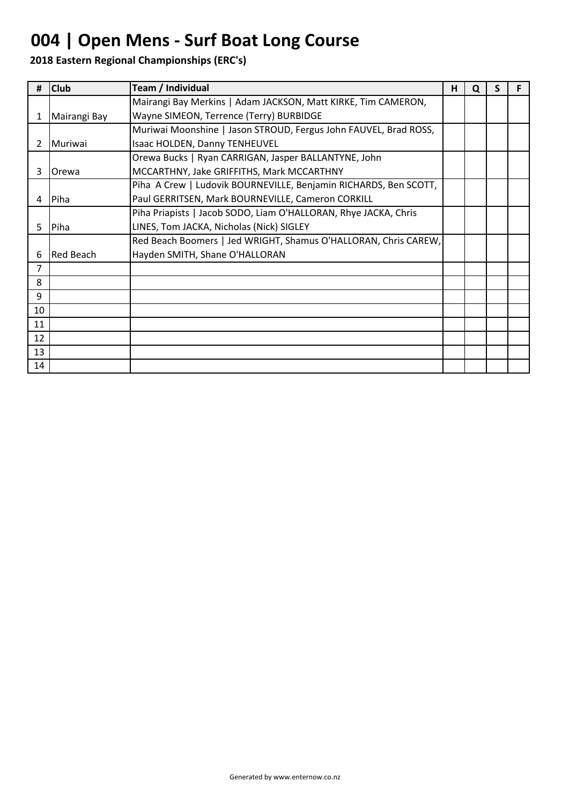# **004 | Open Mens - Surf Boat Long Course**

| #              | <b>Club</b>      | Team / Individual                                                | н | Q | S |  |
|----------------|------------------|------------------------------------------------------------------|---|---|---|--|
|                |                  | Mairangi Bay Merkins   Adam JACKSON, Matt KIRKE, Tim CAMERON,    |   |   |   |  |
| 1              | Mairangi Bay     | Wayne SIMEON, Terrence (Terry) BURBIDGE                          |   |   |   |  |
|                |                  | Muriwai Moonshine   Jason STROUD, Fergus John FAUVEL, Brad ROSS, |   |   |   |  |
| $\overline{2}$ | Muriwai          | Isaac HOLDEN, Danny TENHEUVEL                                    |   |   |   |  |
|                |                  | Orewa Bucks   Ryan CARRIGAN, Jasper BALLANTYNE, John             |   |   |   |  |
| 3              | Orewa            | MCCARTHNY, Jake GRIFFITHS, Mark MCCARTHNY                        |   |   |   |  |
|                |                  | Piha A Crew   Ludovik BOURNEVILLE, Benjamin RICHARDS, Ben SCOTT, |   |   |   |  |
| 4              | Piha             | Paul GERRITSEN, Mark BOURNEVILLE, Cameron CORKILL                |   |   |   |  |
|                |                  | Piha Priapists   Jacob SODO, Liam O'HALLORAN, Rhye JACKA, Chris  |   |   |   |  |
| 5.             | Piha             | LINES, Tom JACKA, Nicholas (Nick) SIGLEY                         |   |   |   |  |
|                |                  | Red Beach Boomers   Jed WRIGHT, Shamus O'HALLORAN, Chris CAREW,  |   |   |   |  |
| 6              | <b>Red Beach</b> | Hayden SMITH, Shane O'HALLORAN                                   |   |   |   |  |
| $\overline{7}$ |                  |                                                                  |   |   |   |  |
| 8              |                  |                                                                  |   |   |   |  |
| 9              |                  |                                                                  |   |   |   |  |
| 10             |                  |                                                                  |   |   |   |  |
| 11             |                  |                                                                  |   |   |   |  |
| 12             |                  |                                                                  |   |   |   |  |
| 13             |                  |                                                                  |   |   |   |  |
| 14             |                  |                                                                  |   |   |   |  |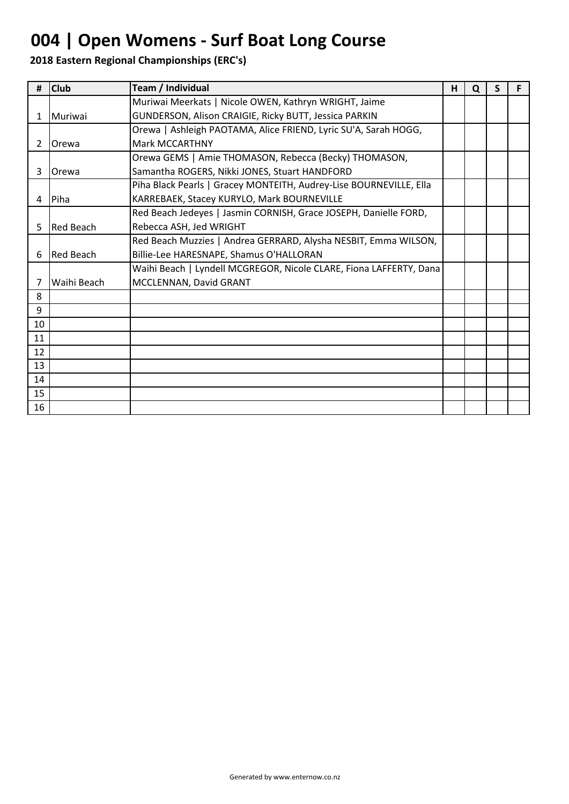# **004 | Open Womens - Surf Boat Long Course**

| #  | <b>Club</b>      | Team / Individual                                                  | н | Q | S | F |
|----|------------------|--------------------------------------------------------------------|---|---|---|---|
|    |                  | Muriwai Meerkats   Nicole OWEN, Kathryn WRIGHT, Jaime              |   |   |   |   |
| 1  | Muriwai          | GUNDERSON, Alison CRAIGIE, Ricky BUTT, Jessica PARKIN              |   |   |   |   |
|    |                  | Orewa   Ashleigh PAOTAMA, Alice FRIEND, Lyric SU'A, Sarah HOGG,    |   |   |   |   |
| 2  | <b>Orewa</b>     | <b>Mark MCCARTHNY</b>                                              |   |   |   |   |
|    |                  | Orewa GEMS   Amie THOMASON, Rebecca (Becky) THOMASON,              |   |   |   |   |
| 3  | Orewa            | Samantha ROGERS, Nikki JONES, Stuart HANDFORD                      |   |   |   |   |
|    |                  | Piha Black Pearls   Gracey MONTEITH, Audrey-Lise BOURNEVILLE, Ella |   |   |   |   |
| 4  | Piha             | KARREBAEK, Stacey KURYLO, Mark BOURNEVILLE                         |   |   |   |   |
|    |                  | Red Beach Jedeyes   Jasmin CORNISH, Grace JOSEPH, Danielle FORD,   |   |   |   |   |
| 5. | <b>Red Beach</b> | Rebecca ASH, Jed WRIGHT                                            |   |   |   |   |
|    |                  | Red Beach Muzzies   Andrea GERRARD, Alysha NESBIT, Emma WILSON,    |   |   |   |   |
| 6  | <b>Red Beach</b> | Billie-Lee HARESNAPE, Shamus O'HALLORAN                            |   |   |   |   |
|    |                  | Waihi Beach   Lyndell MCGREGOR, Nicole CLARE, Fiona LAFFERTY, Dana |   |   |   |   |
| 7  | Waihi Beach      | MCCLENNAN, David GRANT                                             |   |   |   |   |
| 8  |                  |                                                                    |   |   |   |   |
| 9  |                  |                                                                    |   |   |   |   |
| 10 |                  |                                                                    |   |   |   |   |
| 11 |                  |                                                                    |   |   |   |   |
| 12 |                  |                                                                    |   |   |   |   |
| 13 |                  |                                                                    |   |   |   |   |
| 14 |                  |                                                                    |   |   |   |   |
| 15 |                  |                                                                    |   |   |   |   |
| 16 |                  |                                                                    |   |   |   |   |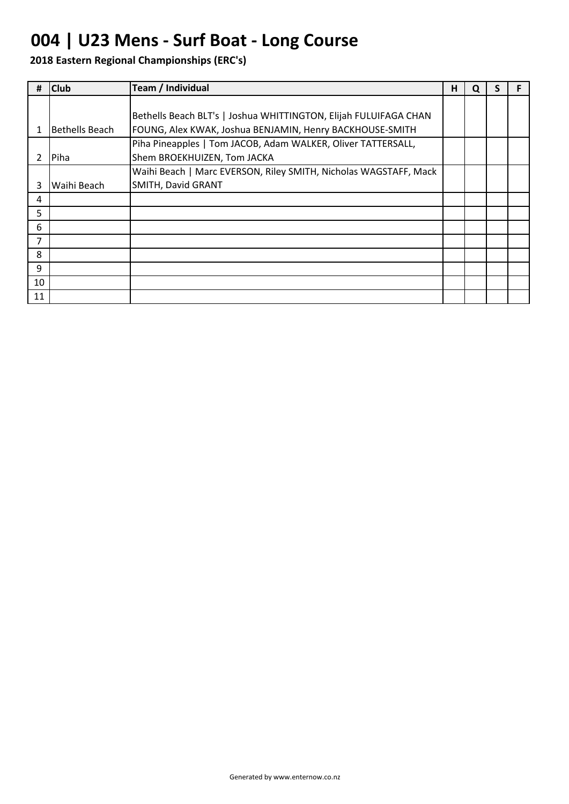## **004 | U23 Mens - Surf Boat - Long Course**

| #  | <b>Club</b>    | Team / Individual                                                | н | Q |  |
|----|----------------|------------------------------------------------------------------|---|---|--|
|    |                |                                                                  |   |   |  |
|    |                | Bethells Beach BLT's   Joshua WHITTINGTON, Elijah FULUIFAGA CHAN |   |   |  |
|    | Bethells Beach | FOUNG, Alex KWAK, Joshua BENJAMIN, Henry BACKHOUSE-SMITH         |   |   |  |
|    |                | Piha Pineapples   Tom JACOB, Adam WALKER, Oliver TATTERSALL,     |   |   |  |
|    | Piha           | Shem BROEKHUIZEN, Tom JACKA                                      |   |   |  |
|    |                | Waihi Beach   Marc EVERSON, Riley SMITH, Nicholas WAGSTAFF, Mack |   |   |  |
| 3  | Waihi Beach    | SMITH, David GRANT                                               |   |   |  |
| 4  |                |                                                                  |   |   |  |
| 5  |                |                                                                  |   |   |  |
| 6  |                |                                                                  |   |   |  |
| 7  |                |                                                                  |   |   |  |
| 8  |                |                                                                  |   |   |  |
| 9  |                |                                                                  |   |   |  |
| 10 |                |                                                                  |   |   |  |
| 11 |                |                                                                  |   |   |  |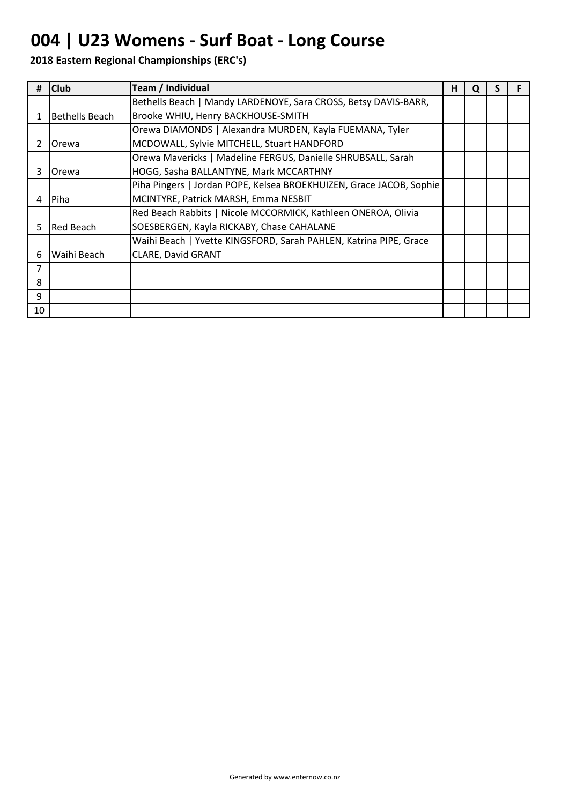## **004 | U23 Womens - Surf Boat - Long Course**

|    | <b>Club</b>    | Team / Individual                                                   | н | Q |  |
|----|----------------|---------------------------------------------------------------------|---|---|--|
|    |                | Bethells Beach   Mandy LARDENOYE, Sara CROSS, Betsy DAVIS-BARR,     |   |   |  |
| 1  | Bethells Beach | Brooke WHIU, Henry BACKHOUSE-SMITH                                  |   |   |  |
|    |                | Orewa DIAMONDS   Alexandra MURDEN, Kayla FUEMANA, Tyler             |   |   |  |
| 2  | Orewa          | MCDOWALL, Sylvie MITCHELL, Stuart HANDFORD                          |   |   |  |
|    |                | Orewa Mavericks   Madeline FERGUS, Danielle SHRUBSALL, Sarah        |   |   |  |
| 3  | Orewa          | HOGG, Sasha BALLANTYNE, Mark MCCARTHNY                              |   |   |  |
|    |                | Piha Pingers   Jordan POPE, Kelsea BROEKHUIZEN, Grace JACOB, Sophie |   |   |  |
| 4  | Piha           | MCINTYRE, Patrick MARSH, Emma NESBIT                                |   |   |  |
|    |                | Red Beach Rabbits   Nicole MCCORMICK, Kathleen ONEROA, Olivia       |   |   |  |
| 5. | Red Beach      | SOESBERGEN, Kayla RICKABY, Chase CAHALANE                           |   |   |  |
|    |                | Waihi Beach   Yvette KINGSFORD, Sarah PAHLEN, Katrina PIPE, Grace   |   |   |  |
| 6  | Waihi Beach    | <b>CLARE, David GRANT</b>                                           |   |   |  |
| 7  |                |                                                                     |   |   |  |
| 8  |                |                                                                     |   |   |  |
| 9  |                |                                                                     |   |   |  |
| 10 |                |                                                                     |   |   |  |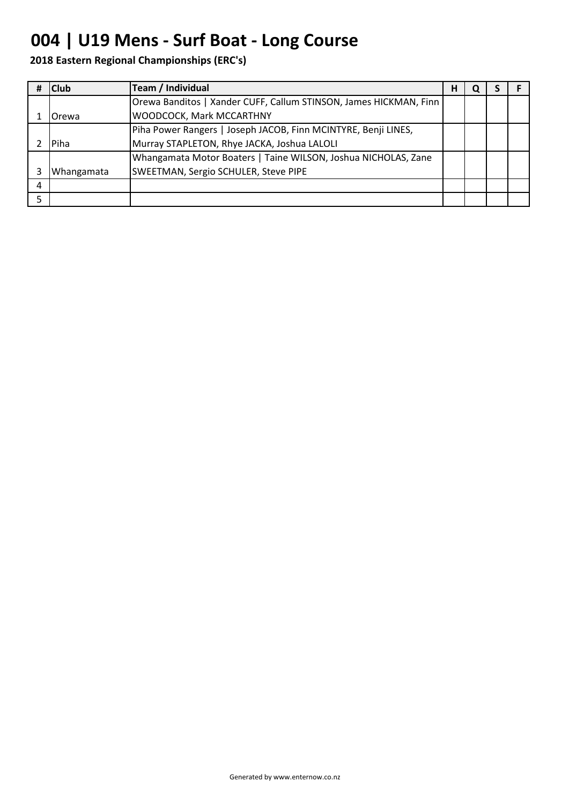## **004 | U19 Mens - Surf Boat - Long Course**

|   | <b>Club</b> | Team / Individual                                                 | н | u |  |
|---|-------------|-------------------------------------------------------------------|---|---|--|
|   |             | Orewa Banditos   Xander CUFF, Callum STINSON, James HICKMAN, Finn |   |   |  |
|   | Orewa       | <b>WOODCOCK, Mark MCCARTHNY</b>                                   |   |   |  |
|   |             | Piha Power Rangers   Joseph JACOB, Finn MCINTYRE, Benji LINES,    |   |   |  |
|   | Piha        | Murray STAPLETON, Rhye JACKA, Joshua LALOLI                       |   |   |  |
|   |             | Whangamata Motor Boaters   Taine WILSON, Joshua NICHOLAS, Zane    |   |   |  |
|   | Whangamata  | SWEETMAN, Sergio SCHULER, Steve PIPE                              |   |   |  |
| 4 |             |                                                                   |   |   |  |
| 5 |             |                                                                   |   |   |  |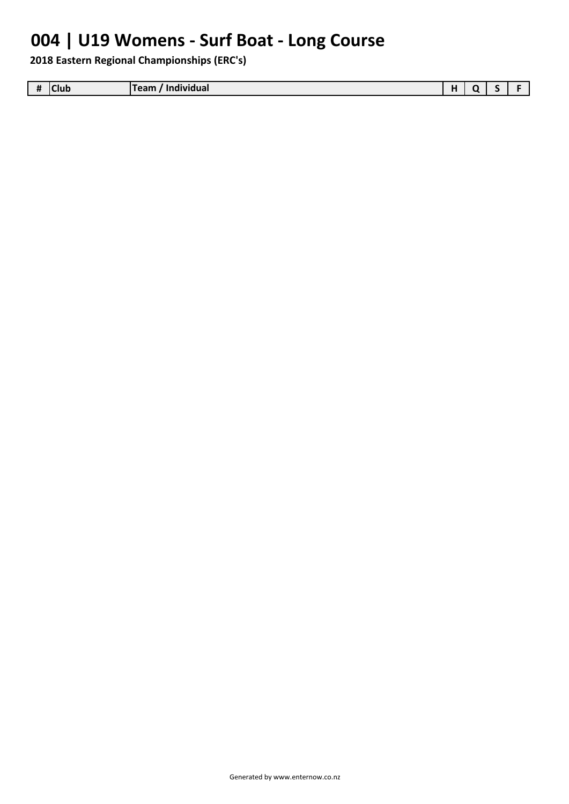## **004 | U19 Womens - Surf Boat - Long Course**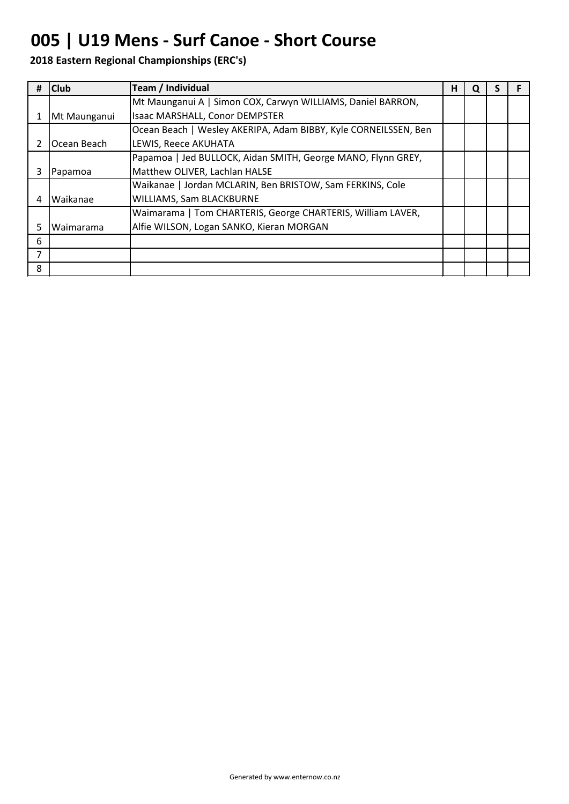### **005 | U19 Mens - Surf Canoe - Short Course**

| # | <b>Club</b>       | <b>Team / Individual</b>                                        | н | u |  |
|---|-------------------|-----------------------------------------------------------------|---|---|--|
|   |                   | Mt Maunganui A   Simon COX, Carwyn WILLIAMS, Daniel BARRON,     |   |   |  |
|   | Mt Maunganui      | Isaac MARSHALL, Conor DEMPSTER                                  |   |   |  |
|   |                   | Ocean Beach   Wesley AKERIPA, Adam BIBBY, Kyle CORNEILSSEN, Ben |   |   |  |
|   | Ocean Beach       | LEWIS, Reece AKUHATA                                            |   |   |  |
|   |                   | Papamoa   Jed BULLOCK, Aidan SMITH, George MANO, Flynn GREY,    |   |   |  |
|   | Papamoa           | Matthew OLIVER, Lachlan HALSE                                   |   |   |  |
|   |                   | Waikanae   Jordan MCLARIN, Ben BRISTOW, Sam FERKINS, Cole       |   |   |  |
| 4 | <b>I</b> Waikanae | <b>WILLIAMS, Sam BLACKBURNE</b>                                 |   |   |  |
|   |                   | Waimarama   Tom CHARTERIS, George CHARTERIS, William LAVER,     |   |   |  |
| 5 | Waimarama         | Alfie WILSON, Logan SANKO, Kieran MORGAN                        |   |   |  |
| 6 |                   |                                                                 |   |   |  |
| 7 |                   |                                                                 |   |   |  |
| 8 |                   |                                                                 |   |   |  |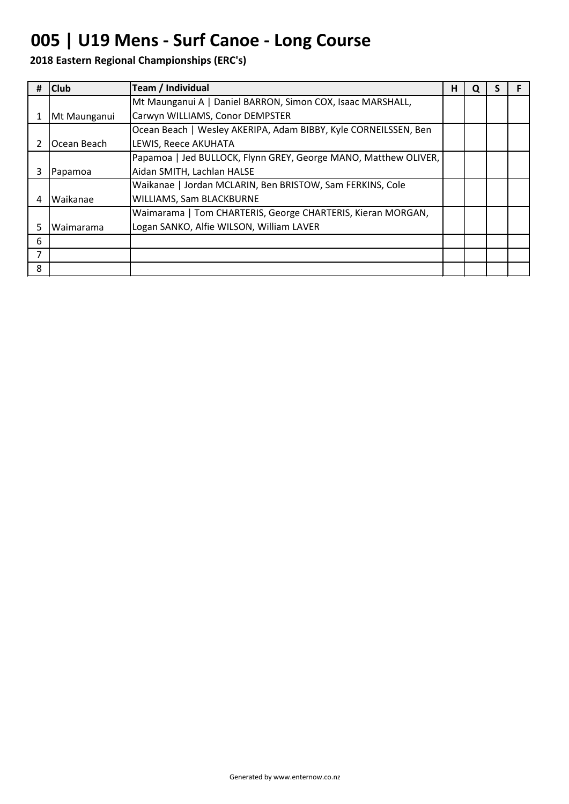## **005 | U19 Mens - Surf Canoe - Long Course**

|                | <b>Club</b>  | <b>Team / Individual</b>                                        | н | u |  |
|----------------|--------------|-----------------------------------------------------------------|---|---|--|
|                |              | Mt Maunganui A   Daniel BARRON, Simon COX, Isaac MARSHALL,      |   |   |  |
|                | Mt Maunganui | Carwyn WILLIAMS, Conor DEMPSTER                                 |   |   |  |
|                |              | Ocean Beach   Wesley AKERIPA, Adam BIBBY, Kyle CORNEILSSEN, Ben |   |   |  |
|                | Ocean Beach  | <b>LEWIS, Reece AKUHATA</b>                                     |   |   |  |
|                |              | Papamoa   Jed BULLOCK, Flynn GREY, George MANO, Matthew OLIVER, |   |   |  |
|                | Papamoa      | Aidan SMITH, Lachlan HALSE                                      |   |   |  |
|                |              | Waikanae   Jordan MCLARIN, Ben BRISTOW, Sam FERKINS, Cole       |   |   |  |
| 4              | Waikanae     | WILLIAMS, Sam BLACKBURNE                                        |   |   |  |
|                |              | Waimarama   Tom CHARTERIS, George CHARTERIS, Kieran MORGAN,     |   |   |  |
| 5              | Waimarama    | Logan SANKO, Alfie WILSON, William LAVER                        |   |   |  |
| 6              |              |                                                                 |   |   |  |
| $\overline{7}$ |              |                                                                 |   |   |  |
| 8              |              |                                                                 |   |   |  |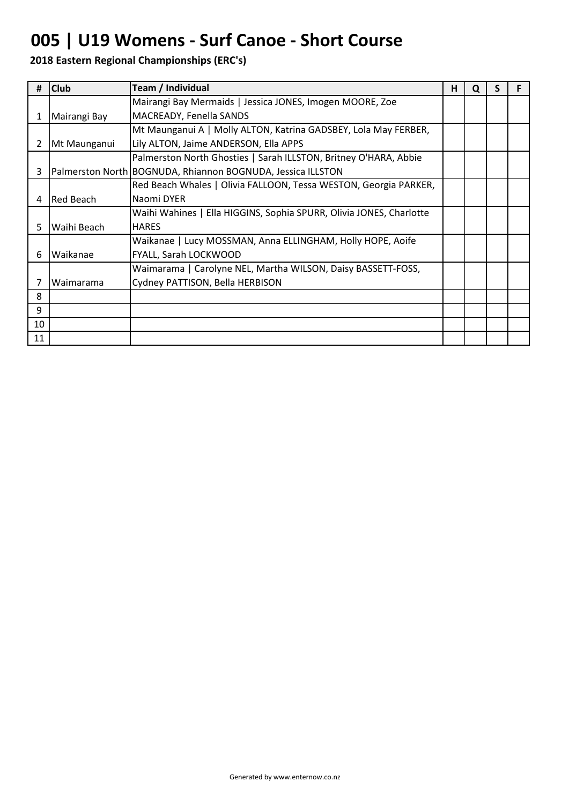### **005 | U19 Womens - Surf Canoe - Short Course**

| #  | <b>Club</b>  | Team / Individual                                                   | н | O |  |
|----|--------------|---------------------------------------------------------------------|---|---|--|
|    |              | Mairangi Bay Mermaids   Jessica JONES, Imogen MOORE, Zoe            |   |   |  |
| 1  | Mairangi Bay | MACREADY, Fenella SANDS                                             |   |   |  |
|    |              | Mt Maunganui A   Molly ALTON, Katrina GADSBEY, Lola May FERBER,     |   |   |  |
| 2  | Mt Maunganui | Lily ALTON, Jaime ANDERSON, Ella APPS                               |   |   |  |
|    |              | Palmerston North Ghosties   Sarah ILLSTON, Britney O'HARA, Abbie    |   |   |  |
| 3  |              | Palmerston North BOGNUDA, Rhiannon BOGNUDA, Jessica ILLSTON         |   |   |  |
|    |              | Red Beach Whales   Olivia FALLOON, Tessa WESTON, Georgia PARKER,    |   |   |  |
| 4  | Red Beach    | Naomi DYER                                                          |   |   |  |
|    |              | Waihi Wahines   Ella HIGGINS, Sophia SPURR, Olivia JONES, Charlotte |   |   |  |
| 5. | Waihi Beach  | <b>HARES</b>                                                        |   |   |  |
|    |              | Waikanae   Lucy MOSSMAN, Anna ELLINGHAM, Holly HOPE, Aoife          |   |   |  |
| 6  | Waikanae     | FYALL, Sarah LOCKWOOD                                               |   |   |  |
|    |              | Waimarama   Carolyne NEL, Martha WILSON, Daisy BASSETT-FOSS,        |   |   |  |
| 7  | Waimarama    | Cydney PATTISON, Bella HERBISON                                     |   |   |  |
| 8  |              |                                                                     |   |   |  |
| 9  |              |                                                                     |   |   |  |
| 10 |              |                                                                     |   |   |  |
| 11 |              |                                                                     |   |   |  |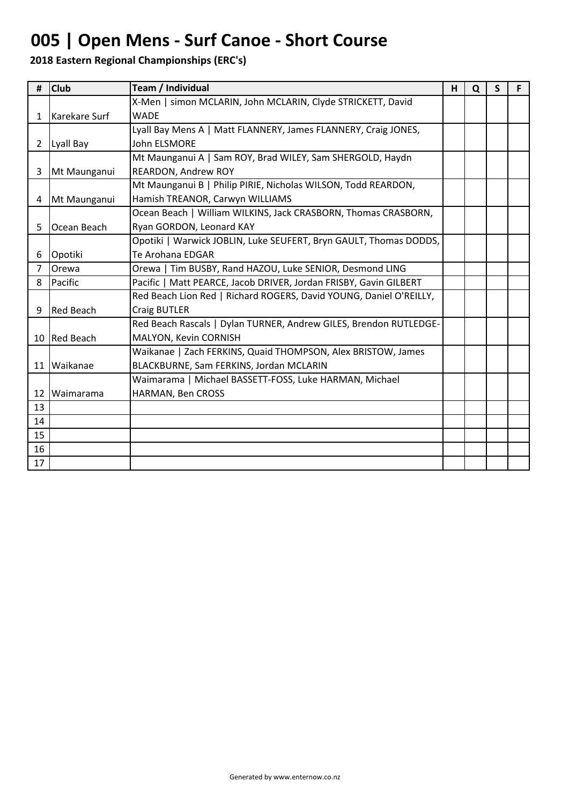# **005 | Open Mens - Surf Canoe - Short Course**

| #              | <b>Club</b>      | Team / Individual                                                  | H | Q | S | F |
|----------------|------------------|--------------------------------------------------------------------|---|---|---|---|
|                |                  | X-Men   simon MCLARIN, John MCLARIN, Clyde STRICKETT, David        |   |   |   |   |
| $\mathbf{1}$   | Karekare Surf    | <b>WADE</b>                                                        |   |   |   |   |
|                |                  | Lyall Bay Mens A   Matt FLANNERY, James FLANNERY, Craig JONES,     |   |   |   |   |
| $\mathbf{2}$   | Lyall Bay        | <b>John ELSMORE</b>                                                |   |   |   |   |
|                |                  | Mt Maunganui A   Sam ROY, Brad WILEY, Sam SHERGOLD, Haydn          |   |   |   |   |
| 3              | Mt Maunganui     | REARDON, Andrew ROY                                                |   |   |   |   |
|                |                  | Mt Maunganui B   Philip PIRIE, Nicholas WILSON, Todd REARDON,      |   |   |   |   |
|                | 4 Mt Maunganui   | Hamish TREANOR, Carwyn WILLIAMS                                    |   |   |   |   |
|                |                  | Ocean Beach   William WILKINS, Jack CRASBORN, Thomas CRASBORN,     |   |   |   |   |
| 5.             | Ocean Beach      | Ryan GORDON, Leonard KAY                                           |   |   |   |   |
|                |                  | Opotiki   Warwick JOBLIN, Luke SEUFERT, Bryn GAULT, Thomas DODDS,  |   |   |   |   |
| 6              | Opotiki          | Te Arohana EDGAR                                                   |   |   |   |   |
| $\overline{7}$ | Orewa            | Orewa   Tim BUSBY, Rand HAZOU, Luke SENIOR, Desmond LING           |   |   |   |   |
| 8              | Pacific          | Pacific   Matt PEARCE, Jacob DRIVER, Jordan FRISBY, Gavin GILBERT  |   |   |   |   |
|                |                  | Red Beach Lion Red   Richard ROGERS, David YOUNG, Daniel O'REILLY, |   |   |   |   |
| 9              | <b>Red Beach</b> | <b>Craig BUTLER</b>                                                |   |   |   |   |
|                |                  | Red Beach Rascals   Dylan TURNER, Andrew GILES, Brendon RUTLEDGE-  |   |   |   |   |
|                | 10 Red Beach     | MALYON, Kevin CORNISH                                              |   |   |   |   |
|                |                  | Waikanae   Zach FERKINS, Quaid THOMPSON, Alex BRISTOW, James       |   |   |   |   |
|                | 11 Waikanae      | BLACKBURNE, Sam FERKINS, Jordan MCLARIN                            |   |   |   |   |
|                |                  | Waimarama   Michael BASSETT-FOSS, Luke HARMAN, Michael             |   |   |   |   |
| 12             | Waimarama        | HARMAN, Ben CROSS                                                  |   |   |   |   |
| 13             |                  |                                                                    |   |   |   |   |
| 14             |                  |                                                                    |   |   |   |   |
| 15             |                  |                                                                    |   |   |   |   |
| 16             |                  |                                                                    |   |   |   |   |
| 17             |                  |                                                                    |   |   |   |   |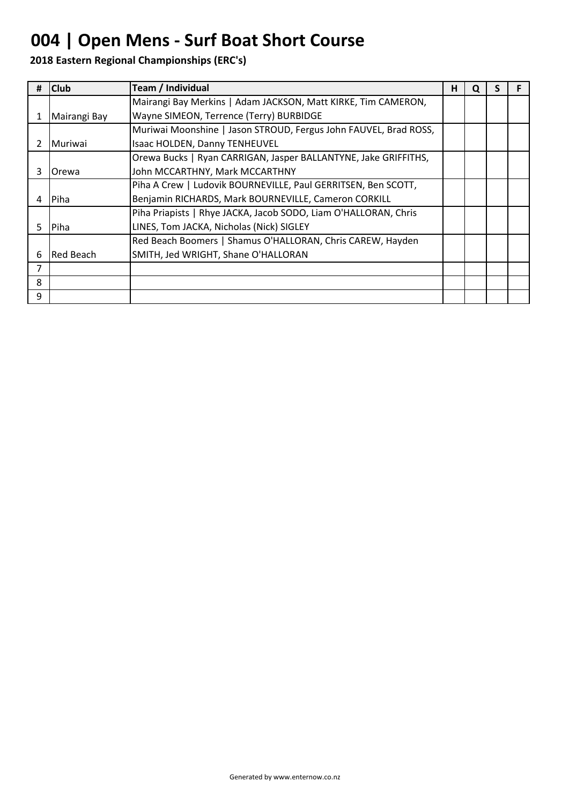# **004 | Open Mens - Surf Boat Short Course**

| #  | <b>Club</b>      | Team / Individual                                                | н | Q |  |
|----|------------------|------------------------------------------------------------------|---|---|--|
|    |                  | Mairangi Bay Merkins   Adam JACKSON, Matt KIRKE, Tim CAMERON,    |   |   |  |
|    | Mairangi Bay     | Wayne SIMEON, Terrence (Terry) BURBIDGE                          |   |   |  |
|    |                  | Muriwai Moonshine   Jason STROUD, Fergus John FAUVEL, Brad ROSS, |   |   |  |
|    | <b>I</b> Muriwai | Isaac HOLDEN, Danny TENHEUVEL                                    |   |   |  |
|    |                  | Orewa Bucks   Ryan CARRIGAN, Jasper BALLANTYNE, Jake GRIFFITHS,  |   |   |  |
| 3  | <b>Orewa</b>     | John MCCARTHNY, Mark MCCARTHNY                                   |   |   |  |
|    |                  | Piha A Crew   Ludovik BOURNEVILLE, Paul GERRITSEN, Ben SCOTT,    |   |   |  |
| 4  | IPiha            | Benjamin RICHARDS, Mark BOURNEVILLE, Cameron CORKILL             |   |   |  |
|    |                  | Piha Priapists   Rhye JACKA, Jacob SODO, Liam O'HALLORAN, Chris  |   |   |  |
| 5. | Piha             | LINES, Tom JACKA, Nicholas (Nick) SIGLEY                         |   |   |  |
|    |                  | Red Beach Boomers   Shamus O'HALLORAN, Chris CAREW, Hayden       |   |   |  |
| 6  | Red Beach        | SMITH, Jed WRIGHT, Shane O'HALLORAN                              |   |   |  |
| 7  |                  |                                                                  |   |   |  |
| 8  |                  |                                                                  |   |   |  |
| 9  |                  |                                                                  |   |   |  |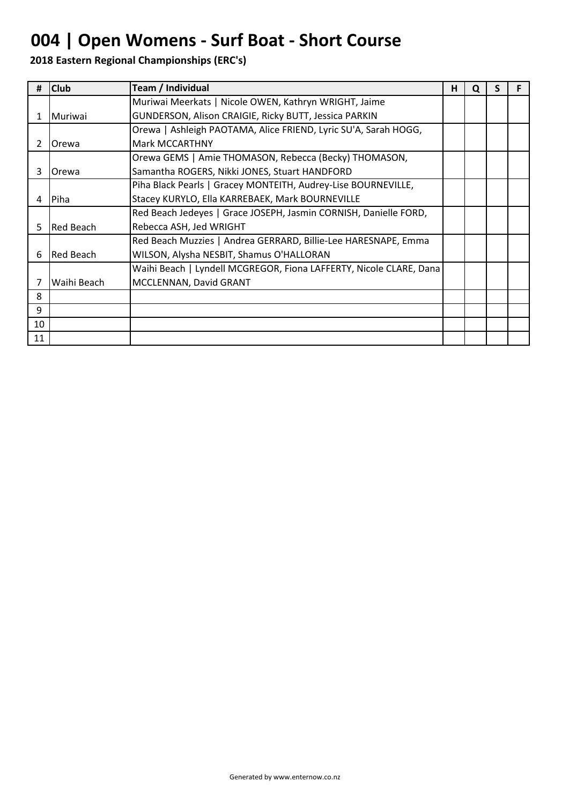# **004 | Open Womens - Surf Boat - Short Course**

| #  | <b>Club</b>      | Team / Individual                                                  | н | Q |  |
|----|------------------|--------------------------------------------------------------------|---|---|--|
|    |                  | Muriwai Meerkats   Nicole OWEN, Kathryn WRIGHT, Jaime              |   |   |  |
| 1. | <b>I</b> Muriwai | GUNDERSON, Alison CRAIGIE, Ricky BUTT, Jessica PARKIN              |   |   |  |
|    |                  | Orewa   Ashleigh PAOTAMA, Alice FRIEND, Lyric SU'A, Sarah HOGG,    |   |   |  |
| 2  | Orewa            | <b>Mark MCCARTHNY</b>                                              |   |   |  |
|    |                  | Orewa GEMS   Amie THOMASON, Rebecca (Becky) THOMASON,              |   |   |  |
| 3  | Orewa            | Samantha ROGERS, Nikki JONES, Stuart HANDFORD                      |   |   |  |
|    |                  | Piha Black Pearls   Gracey MONTEITH, Audrey-Lise BOURNEVILLE,      |   |   |  |
| 4  | Piha             | Stacey KURYLO, Ella KARREBAEK, Mark BOURNEVILLE                    |   |   |  |
|    |                  | Red Beach Jedeyes   Grace JOSEPH, Jasmin CORNISH, Danielle FORD,   |   |   |  |
| 5  | Red Beach        | Rebecca ASH, Jed WRIGHT                                            |   |   |  |
|    |                  | Red Beach Muzzies   Andrea GERRARD, Billie-Lee HARESNAPE, Emma     |   |   |  |
| 6  | Red Beach        | WILSON, Alysha NESBIT, Shamus O'HALLORAN                           |   |   |  |
|    |                  | Waihi Beach   Lyndell MCGREGOR, Fiona LAFFERTY, Nicole CLARE, Dana |   |   |  |
| 7  | Waihi Beach      | MCCLENNAN, David GRANT                                             |   |   |  |
| 8  |                  |                                                                    |   |   |  |
| 9  |                  |                                                                    |   |   |  |
| 10 |                  |                                                                    |   |   |  |
| 11 |                  |                                                                    |   |   |  |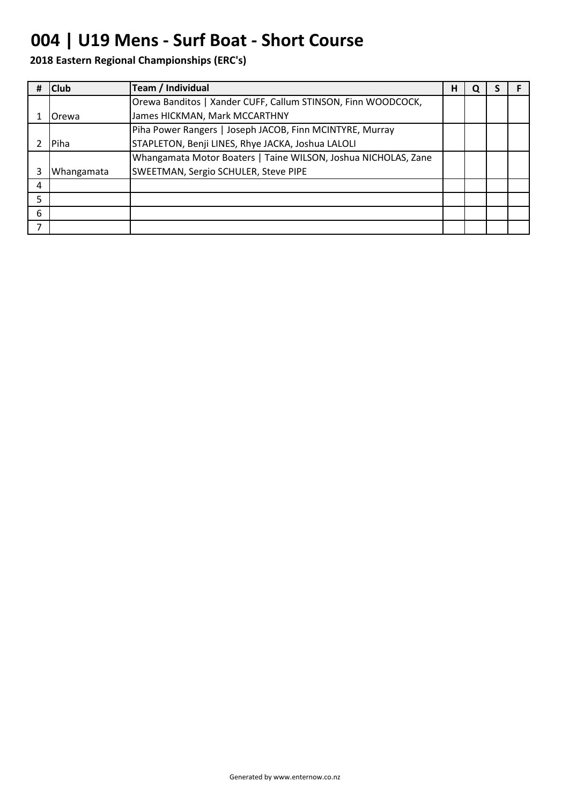## **004 | U19 Mens - Surf Boat - Short Course**

| # | <b>Club</b> | Team / Individual                                              | н | O |  |
|---|-------------|----------------------------------------------------------------|---|---|--|
|   |             | Orewa Banditos   Xander CUFF, Callum STINSON, Finn WOODCOCK,   |   |   |  |
|   | lOrewa      | James HICKMAN, Mark MCCARTHNY                                  |   |   |  |
|   |             | Piha Power Rangers   Joseph JACOB, Finn MCINTYRE, Murray       |   |   |  |
|   | Piha        | STAPLETON, Benji LINES, Rhye JACKA, Joshua LALOLI              |   |   |  |
|   |             | Whangamata Motor Boaters   Taine WILSON, Joshua NICHOLAS, Zane |   |   |  |
|   | Whangamata  | SWEETMAN, Sergio SCHULER, Steve PIPE                           |   |   |  |
| 4 |             |                                                                |   |   |  |
| 5 |             |                                                                |   |   |  |
| 6 |             |                                                                |   |   |  |
| ⇁ |             |                                                                |   |   |  |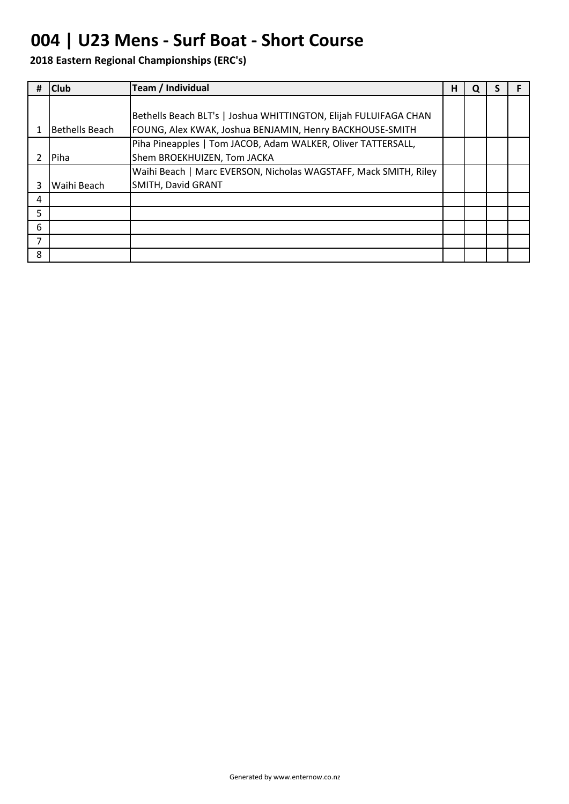## **004 | U23 Mens - Surf Boat - Short Course**

|                | <b>Club</b>    | Team / Individual                                                | н | O |  |
|----------------|----------------|------------------------------------------------------------------|---|---|--|
|                |                |                                                                  |   |   |  |
|                |                | Bethells Beach BLT's   Joshua WHITTINGTON, Elijah FULUIFAGA CHAN |   |   |  |
|                | Bethells Beach | FOUNG, Alex KWAK, Joshua BENJAMIN, Henry BACKHOUSE-SMITH         |   |   |  |
|                |                | Piha Pineapples   Tom JACOB, Adam WALKER, Oliver TATTERSALL,     |   |   |  |
|                | Piha           | Shem BROEKHUIZEN, Tom JACKA                                      |   |   |  |
|                |                | Waihi Beach   Marc EVERSON, Nicholas WAGSTAFF, Mack SMITH, Riley |   |   |  |
| 3              | Waihi Beach    | SMITH, David GRANT                                               |   |   |  |
| 4              |                |                                                                  |   |   |  |
| 5.             |                |                                                                  |   |   |  |
| 6              |                |                                                                  |   |   |  |
| $\overline{7}$ |                |                                                                  |   |   |  |
| 8              |                |                                                                  |   |   |  |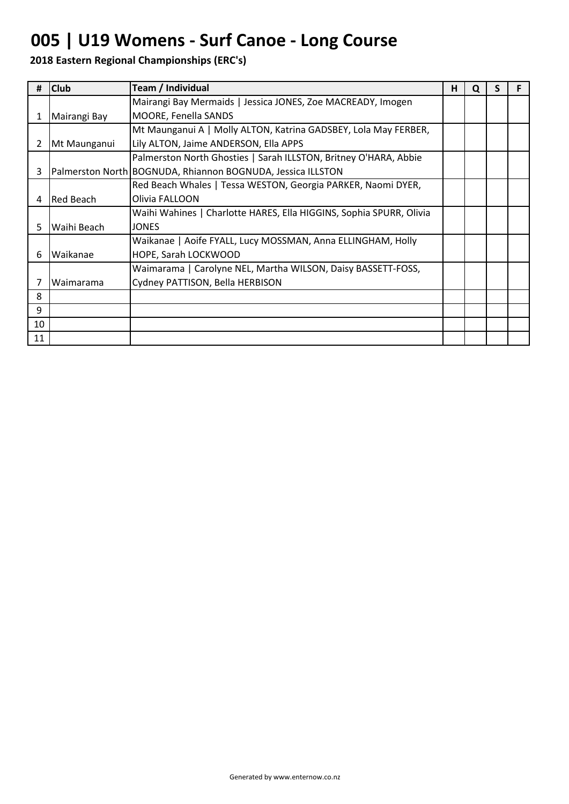## **005 | U19 Womens - Surf Canoe - Long Course**

| #              | <b>Club</b>  | Team / Individual                                                   | н | O | S |  |
|----------------|--------------|---------------------------------------------------------------------|---|---|---|--|
|                |              | Mairangi Bay Mermaids   Jessica JONES, Zoe MACREADY, Imogen         |   |   |   |  |
| 1              | Mairangi Bay | MOORE, Fenella SANDS                                                |   |   |   |  |
|                |              | Mt Maunganui A   Molly ALTON, Katrina GADSBEY, Lola May FERBER,     |   |   |   |  |
| $\overline{2}$ | Mt Maunganui | Lily ALTON, Jaime ANDERSON, Ella APPS                               |   |   |   |  |
|                |              | Palmerston North Ghosties   Sarah ILLSTON, Britney O'HARA, Abbie    |   |   |   |  |
| 3              |              | Palmerston North BOGNUDA, Rhiannon BOGNUDA, Jessica ILLSTON         |   |   |   |  |
|                |              | Red Beach Whales   Tessa WESTON, Georgia PARKER, Naomi DYER,        |   |   |   |  |
| 4              | lRed Beach   | Olivia FALLOON                                                      |   |   |   |  |
|                |              | Waihi Wahines   Charlotte HARES, Ella HIGGINS, Sophia SPURR, Olivia |   |   |   |  |
| 5.             | Waihi Beach  | <b>JONES</b>                                                        |   |   |   |  |
|                |              | Waikanae   Aoife FYALL, Lucy MOSSMAN, Anna ELLINGHAM, Holly         |   |   |   |  |
| 6              | Waikanae     | HOPE, Sarah LOCKWOOD                                                |   |   |   |  |
|                |              | Waimarama   Carolyne NEL, Martha WILSON, Daisy BASSETT-FOSS,        |   |   |   |  |
| 7              | Waimarama    | Cydney PATTISON, Bella HERBISON                                     |   |   |   |  |
| 8              |              |                                                                     |   |   |   |  |
| 9              |              |                                                                     |   |   |   |  |
| 10             |              |                                                                     |   |   |   |  |
| 11             |              |                                                                     |   |   |   |  |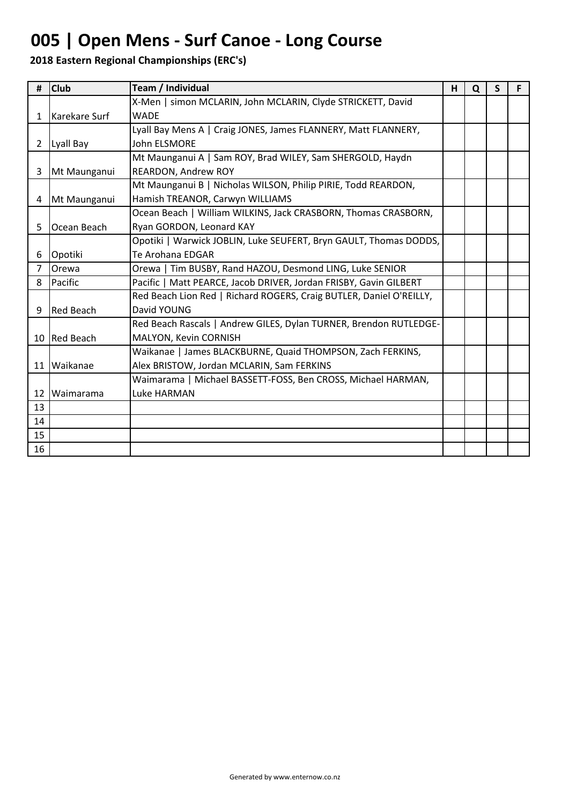# **005 | Open Mens - Surf Canoe - Long Course**

| #              | <b>Club</b>      | Team / Individual                                                   | н | Q | S. |  |
|----------------|------------------|---------------------------------------------------------------------|---|---|----|--|
|                |                  | X-Men   simon MCLARIN, John MCLARIN, Clyde STRICKETT, David         |   |   |    |  |
| $\mathbf{1}$   | Karekare Surf    | <b>WADF</b>                                                         |   |   |    |  |
|                |                  | Lyall Bay Mens A   Craig JONES, James FLANNERY, Matt FLANNERY,      |   |   |    |  |
| $2^{\circ}$    | Lyall Bay        | John ELSMORE                                                        |   |   |    |  |
|                |                  | Mt Maunganui A   Sam ROY, Brad WILEY, Sam SHERGOLD, Haydn           |   |   |    |  |
| 3              | Mt Maunganui     | REARDON, Andrew ROY                                                 |   |   |    |  |
|                |                  | Mt Maunganui B   Nicholas WILSON, Philip PIRIE, Todd REARDON,       |   |   |    |  |
| 4              | Mt Maunganui     | Hamish TREANOR, Carwyn WILLIAMS                                     |   |   |    |  |
|                |                  | Ocean Beach   William WILKINS, Jack CRASBORN, Thomas CRASBORN,      |   |   |    |  |
| 5              | Ocean Beach      | Ryan GORDON, Leonard KAY                                            |   |   |    |  |
|                |                  | Opotiki   Warwick JOBLIN, Luke SEUFERT, Bryn GAULT, Thomas DODDS,   |   |   |    |  |
| 6              | Opotiki          | Te Arohana EDGAR                                                    |   |   |    |  |
| $\overline{7}$ | Orewa            | Orewa   Tim BUSBY, Rand HAZOU, Desmond LING, Luke SENIOR            |   |   |    |  |
| 8              | Pacific          | Pacific   Matt PEARCE, Jacob DRIVER, Jordan FRISBY, Gavin GILBERT   |   |   |    |  |
|                |                  | Red Beach Lion Red   Richard ROGERS, Craig BUTLER, Daniel O'REILLY, |   |   |    |  |
| 9              | <b>Red Beach</b> | David YOUNG                                                         |   |   |    |  |
|                |                  | Red Beach Rascals   Andrew GILES, Dylan TURNER, Brendon RUTLEDGE-   |   |   |    |  |
|                | 10 Red Beach     | MALYON, Kevin CORNISH                                               |   |   |    |  |
|                |                  | Waikanae   James BLACKBURNE, Quaid THOMPSON, Zach FERKINS,          |   |   |    |  |
|                | 11 Waikanae      | Alex BRISTOW, Jordan MCLARIN, Sam FERKINS                           |   |   |    |  |
|                |                  | Waimarama   Michael BASSETT-FOSS, Ben CROSS, Michael HARMAN,        |   |   |    |  |
| 12             | Waimarama        | Luke HARMAN                                                         |   |   |    |  |
| 13             |                  |                                                                     |   |   |    |  |
| 14             |                  |                                                                     |   |   |    |  |
| 15             |                  |                                                                     |   |   |    |  |
| 16             |                  |                                                                     |   |   |    |  |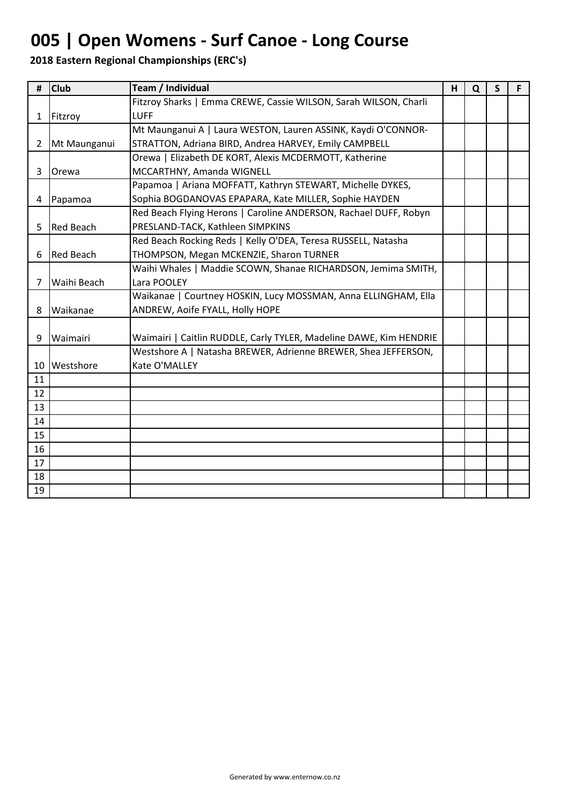# **005 | Open Womens - Surf Canoe - Long Course**

| #              | <b>Club</b>      | Team / Individual                                                  | H | Q | S | F |
|----------------|------------------|--------------------------------------------------------------------|---|---|---|---|
|                |                  | Fitzroy Sharks   Emma CREWE, Cassie WILSON, Sarah WILSON, Charli   |   |   |   |   |
| $\mathbf{1}$   | Fitzroy          | <b>LUFF</b>                                                        |   |   |   |   |
|                |                  | Mt Maunganui A   Laura WESTON, Lauren ASSINK, Kaydi O'CONNOR-      |   |   |   |   |
| $\overline{2}$ | Mt Maunganui     | STRATTON, Adriana BIRD, Andrea HARVEY, Emily CAMPBELL              |   |   |   |   |
|                |                  | Orewa   Elizabeth DE KORT, Alexis MCDERMOTT, Katherine             |   |   |   |   |
| 3              | Orewa            | MCCARTHNY, Amanda WIGNELL                                          |   |   |   |   |
|                |                  | Papamoa   Ariana MOFFATT, Kathryn STEWART, Michelle DYKES,         |   |   |   |   |
| 4              | Papamoa          | Sophia BOGDANOVAS EPAPARA, Kate MILLER, Sophie HAYDEN              |   |   |   |   |
|                |                  | Red Beach Flying Herons   Caroline ANDERSON, Rachael DUFF, Robyn   |   |   |   |   |
| 5              | <b>Red Beach</b> | PRESLAND-TACK, Kathleen SIMPKINS                                   |   |   |   |   |
|                |                  | Red Beach Rocking Reds   Kelly O'DEA, Teresa RUSSELL, Natasha      |   |   |   |   |
| 6              | <b>Red Beach</b> | THOMPSON, Megan MCKENZIE, Sharon TURNER                            |   |   |   |   |
|                |                  | Waihi Whales   Maddie SCOWN, Shanae RICHARDSON, Jemima SMITH,      |   |   |   |   |
| 7              | Waihi Beach      | Lara POOLEY                                                        |   |   |   |   |
|                |                  | Waikanae   Courtney HOSKIN, Lucy MOSSMAN, Anna ELLINGHAM, Ella     |   |   |   |   |
| 8              | Waikanae         | ANDREW, Aoife FYALL, Holly HOPE                                    |   |   |   |   |
|                |                  |                                                                    |   |   |   |   |
| 9              | Waimairi         | Waimairi   Caitlin RUDDLE, Carly TYLER, Madeline DAWE, Kim HENDRIE |   |   |   |   |
|                |                  | Westshore A   Natasha BREWER, Adrienne BREWER, Shea JEFFERSON,     |   |   |   |   |
|                | 10 Westshore     | Kate O'MALLEY                                                      |   |   |   |   |
| 11             |                  |                                                                    |   |   |   |   |
| 12             |                  |                                                                    |   |   |   |   |
| 13             |                  |                                                                    |   |   |   |   |
| 14             |                  |                                                                    |   |   |   |   |
| 15             |                  |                                                                    |   |   |   |   |
| 16             |                  |                                                                    |   |   |   |   |
| 17             |                  |                                                                    |   |   |   |   |
| 18             |                  |                                                                    |   |   |   |   |
| 19             |                  |                                                                    |   |   |   |   |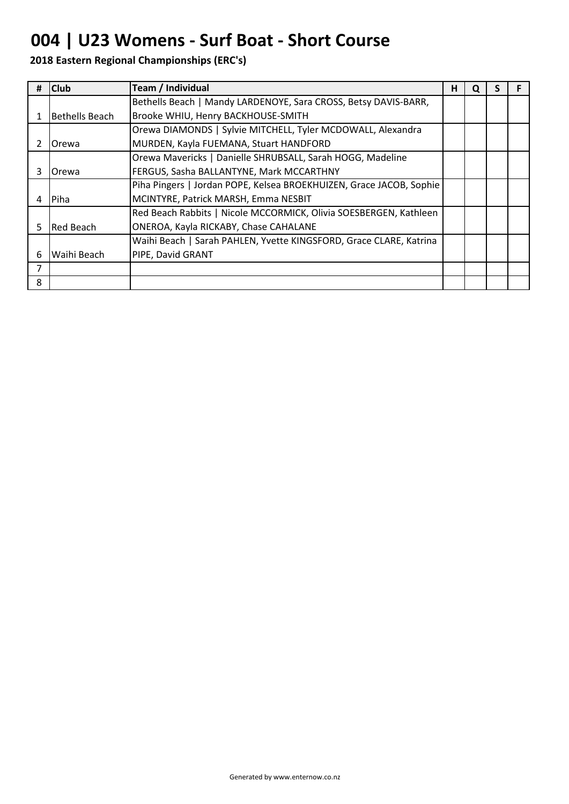# **004 | U23 Womens - Surf Boat - Short Course**

|    | <b>Club</b>    | Team / Individual                                                   | н | u |  |
|----|----------------|---------------------------------------------------------------------|---|---|--|
|    |                | Bethells Beach   Mandy LARDENOYE, Sara CROSS, Betsy DAVIS-BARR,     |   |   |  |
|    | Bethells Beach | Brooke WHIU, Henry BACKHOUSE-SMITH                                  |   |   |  |
|    |                | Orewa DIAMONDS   Sylvie MITCHELL, Tyler MCDOWALL, Alexandra         |   |   |  |
|    | Orewa          | MURDEN, Kayla FUEMANA, Stuart HANDFORD                              |   |   |  |
|    |                | Orewa Mavericks   Danielle SHRUBSALL, Sarah HOGG, Madeline          |   |   |  |
| 3  | Orewa          | FERGUS, Sasha BALLANTYNE, Mark MCCARTHNY                            |   |   |  |
|    |                | Piha Pingers   Jordan POPE, Kelsea BROEKHUIZEN, Grace JACOB, Sophie |   |   |  |
| 4  | l Piha         | MCINTYRE, Patrick MARSH, Emma NESBIT                                |   |   |  |
|    |                | Red Beach Rabbits   Nicole MCCORMICK, Olivia SOESBERGEN, Kathleen   |   |   |  |
| 5. | Red Beach      | ONEROA, Kayla RICKABY, Chase CAHALANE                               |   |   |  |
|    |                | Waihi Beach   Sarah PAHLEN, Yvette KINGSFORD, Grace CLARE, Katrina  |   |   |  |
| 6  | Waihi Beach    | PIPE, David GRANT                                                   |   |   |  |
|    |                |                                                                     |   |   |  |
| 8  |                |                                                                     |   |   |  |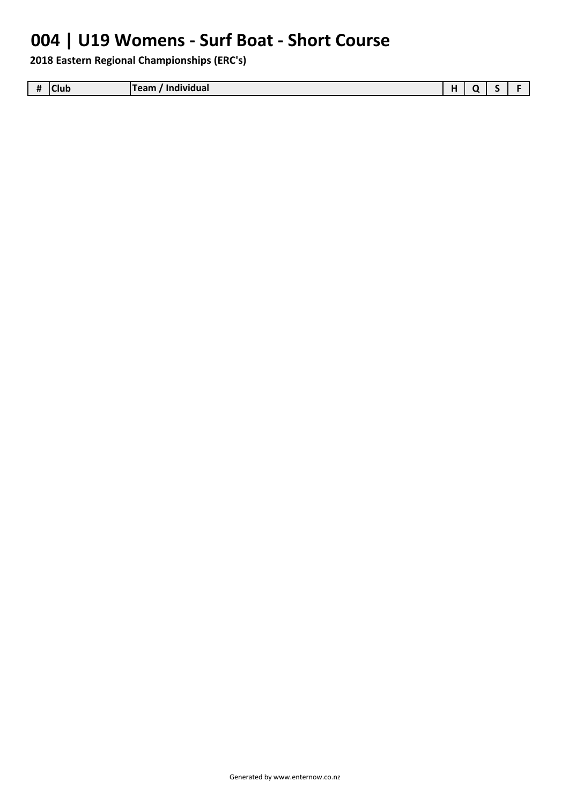# **004 | U19 Womens - Surf Boat - Short Course**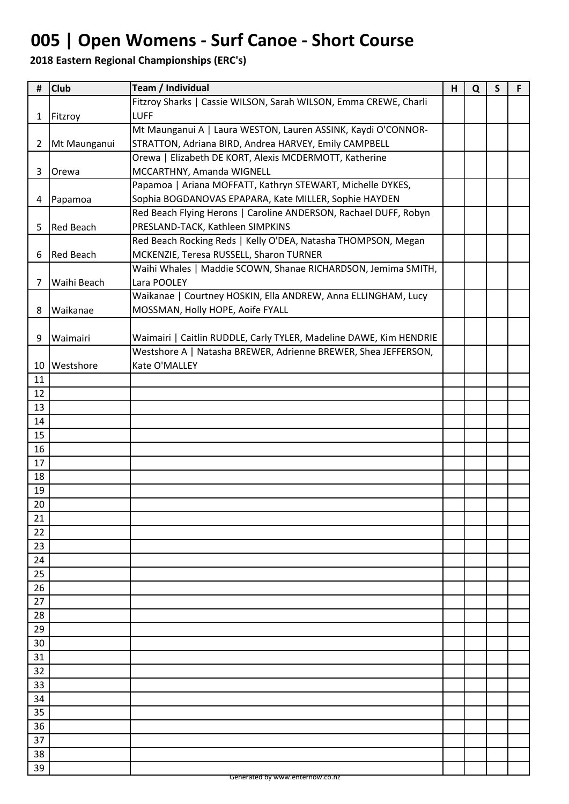# **005 | Open Womens - Surf Canoe - Short Course**

| #            | <b>Club</b>      | Team / Individual                                                  | H | Q | $\mathsf{S}$ | F |
|--------------|------------------|--------------------------------------------------------------------|---|---|--------------|---|
|              |                  | Fitzroy Sharks   Cassie WILSON, Sarah WILSON, Emma CREWE, Charli   |   |   |              |   |
| $\mathbf{1}$ | Fitzroy          | <b>LUFF</b>                                                        |   |   |              |   |
|              |                  | Mt Maunganui A   Laura WESTON, Lauren ASSINK, Kaydi O'CONNOR-      |   |   |              |   |
| $\mathbf{2}$ | Mt Maunganui     | STRATTON, Adriana BIRD, Andrea HARVEY, Emily CAMPBELL              |   |   |              |   |
|              |                  | Orewa   Elizabeth DE KORT, Alexis MCDERMOTT, Katherine             |   |   |              |   |
| 3            | Orewa            | MCCARTHNY, Amanda WIGNELL                                          |   |   |              |   |
|              |                  | Papamoa   Ariana MOFFATT, Kathryn STEWART, Michelle DYKES,         |   |   |              |   |
| 4            | Papamoa          | Sophia BOGDANOVAS EPAPARA, Kate MILLER, Sophie HAYDEN              |   |   |              |   |
|              |                  | Red Beach Flying Herons   Caroline ANDERSON, Rachael DUFF, Robyn   |   |   |              |   |
| 5            | <b>Red Beach</b> | PRESLAND-TACK, Kathleen SIMPKINS                                   |   |   |              |   |
|              |                  | Red Beach Rocking Reds   Kelly O'DEA, Natasha THOMPSON, Megan      |   |   |              |   |
| 6            | <b>Red Beach</b> | MCKENZIE, Teresa RUSSELL, Sharon TURNER                            |   |   |              |   |
|              |                  | Waihi Whales   Maddie SCOWN, Shanae RICHARDSON, Jemima SMITH,      |   |   |              |   |
| 7            | Waihi Beach      | Lara POOLEY                                                        |   |   |              |   |
|              |                  | Waikanae   Courtney HOSKIN, Ella ANDREW, Anna ELLINGHAM, Lucy      |   |   |              |   |
| 8            | Waikanae         | MOSSMAN, Holly HOPE, Aoife FYALL                                   |   |   |              |   |
|              |                  |                                                                    |   |   |              |   |
| 9            | Waimairi         | Waimairi   Caitlin RUDDLE, Carly TYLER, Madeline DAWE, Kim HENDRIE |   |   |              |   |
|              |                  | Westshore A   Natasha BREWER, Adrienne BREWER, Shea JEFFERSON,     |   |   |              |   |
| 10           | Westshore        | Kate O'MALLEY                                                      |   |   |              |   |
| 11           |                  |                                                                    |   |   |              |   |
| 12           |                  |                                                                    |   |   |              |   |
| 13           |                  |                                                                    |   |   |              |   |
| 14           |                  |                                                                    |   |   |              |   |
| 15           |                  |                                                                    |   |   |              |   |
| 16           |                  |                                                                    |   |   |              |   |
| 17           |                  |                                                                    |   |   |              |   |
| 18           |                  |                                                                    |   |   |              |   |
| 19           |                  |                                                                    |   |   |              |   |
| 20           |                  |                                                                    |   |   |              |   |
| 21           |                  |                                                                    |   |   |              |   |
| 22           |                  |                                                                    |   |   |              |   |
| 23           |                  |                                                                    |   |   |              |   |
| 24           |                  |                                                                    |   |   |              |   |
| 25           |                  |                                                                    |   |   |              |   |
| 26           |                  |                                                                    |   |   |              |   |
| 27           |                  |                                                                    |   |   |              |   |
| 28           |                  |                                                                    |   |   |              |   |
| 29           |                  |                                                                    |   |   |              |   |
| 30           |                  |                                                                    |   |   |              |   |
| 31           |                  |                                                                    |   |   |              |   |
| 32           |                  |                                                                    |   |   |              |   |
| 33           |                  |                                                                    |   |   |              |   |
| 34           |                  |                                                                    |   |   |              |   |
| 35           |                  |                                                                    |   |   |              |   |
| 36           |                  |                                                                    |   |   |              |   |
| 37           |                  |                                                                    |   |   |              |   |
|              |                  |                                                                    |   |   |              |   |
| 38           |                  |                                                                    |   |   |              |   |
| 39           |                  |                                                                    |   |   |              |   |